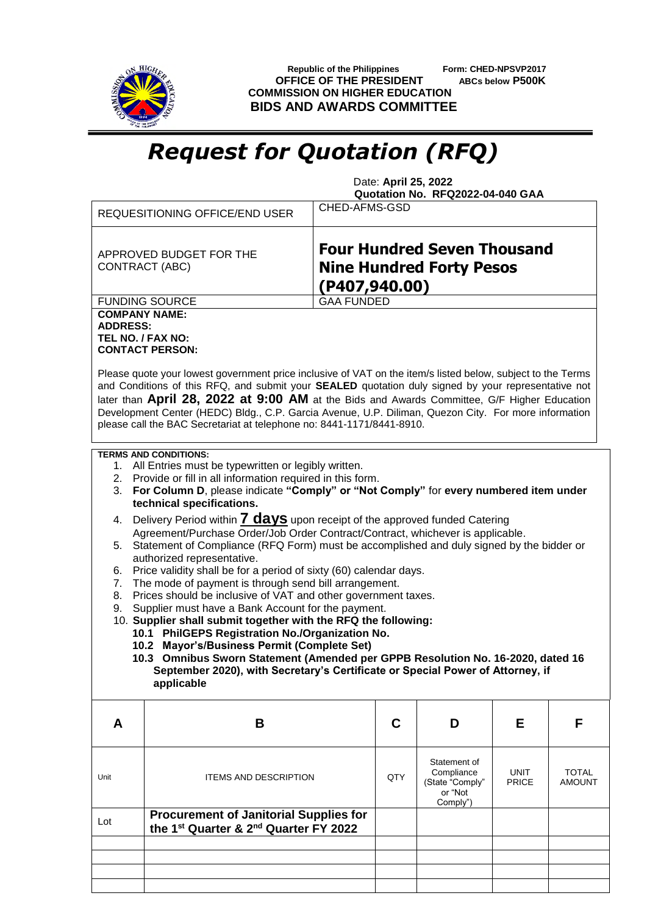

 **Republic of the Philippines Form: CHED-NPSVP2017 OFFICE OF THE PRESIDENT ABCs below P500K COMMISSION ON HIGHER EDUCATION BIDS AND AWARDS COMMITTEE**

## *Request for Quotation (RFQ)*

 Date: **April 25, 2022 Quotation No. RFQ2022-04-040 GAA**

|                                                              | REQUESITIONING OFFICE/END USER                                                                                                                                                                                                                                                                                                                                                                                                                                                                     | CHED-AFMS-GSD                                                                          |     |                                                                      |               |                        |
|--------------------------------------------------------------|----------------------------------------------------------------------------------------------------------------------------------------------------------------------------------------------------------------------------------------------------------------------------------------------------------------------------------------------------------------------------------------------------------------------------------------------------------------------------------------------------|----------------------------------------------------------------------------------------|-----|----------------------------------------------------------------------|---------------|------------------------|
|                                                              | APPROVED BUDGET FOR THE<br><b>CONTRACT (ABC)</b>                                                                                                                                                                                                                                                                                                                                                                                                                                                   | <b>Four Hundred Seven Thousand</b><br><b>Nine Hundred Forty Pesos</b><br>(P407,940.00) |     |                                                                      |               |                        |
|                                                              | <b>FUNDING SOURCE</b>                                                                                                                                                                                                                                                                                                                                                                                                                                                                              | <b>GAA FUNDED</b>                                                                      |     |                                                                      |               |                        |
| <b>COMPANY NAME:</b><br><b>ADDRESS:</b><br>TEL NO. / FAX NO: | <b>CONTACT PERSON:</b>                                                                                                                                                                                                                                                                                                                                                                                                                                                                             |                                                                                        |     |                                                                      |               |                        |
|                                                              | Please quote your lowest government price inclusive of VAT on the item/s listed below, subject to the Terms<br>and Conditions of this RFQ, and submit your SEALED quotation duly signed by your representative not<br>later than April 28, 2022 at 9:00 AM at the Bids and Awards Committee, G/F Higher Education<br>Development Center (HEDC) Bldg., C.P. Garcia Avenue, U.P. Diliman, Quezon City. For more information<br>please call the BAC Secretariat at telephone no: 8441-1171/8441-8910. |                                                                                        |     |                                                                      |               |                        |
|                                                              | <b>TERMS AND CONDITIONS:</b>                                                                                                                                                                                                                                                                                                                                                                                                                                                                       |                                                                                        |     |                                                                      |               |                        |
| 3.                                                           | 1. All Entries must be typewritten or legibly written.<br>2. Provide or fill in all information required in this form.<br>For Column D, please indicate "Comply" or "Not Comply" for every numbered item under<br>technical specifications.                                                                                                                                                                                                                                                        |                                                                                        |     |                                                                      |               |                        |
| 4.                                                           | Delivery Period within <b>7 days</b> upon receipt of the approved funded Catering                                                                                                                                                                                                                                                                                                                                                                                                                  |                                                                                        |     |                                                                      |               |                        |
|                                                              | Agreement/Purchase Order/Job Order Contract/Contract, whichever is applicable.                                                                                                                                                                                                                                                                                                                                                                                                                     |                                                                                        |     |                                                                      |               |                        |
|                                                              | 5. Statement of Compliance (RFQ Form) must be accomplished and duly signed by the bidder or<br>authorized representative.                                                                                                                                                                                                                                                                                                                                                                          |                                                                                        |     |                                                                      |               |                        |
| 6.                                                           | Price validity shall be for a period of sixty (60) calendar days.                                                                                                                                                                                                                                                                                                                                                                                                                                  |                                                                                        |     |                                                                      |               |                        |
| 7.                                                           | The mode of payment is through send bill arrangement.                                                                                                                                                                                                                                                                                                                                                                                                                                              |                                                                                        |     |                                                                      |               |                        |
| 8.                                                           | Prices should be inclusive of VAT and other government taxes.                                                                                                                                                                                                                                                                                                                                                                                                                                      |                                                                                        |     |                                                                      |               |                        |
| 9.                                                           | Supplier must have a Bank Account for the payment.                                                                                                                                                                                                                                                                                                                                                                                                                                                 |                                                                                        |     |                                                                      |               |                        |
|                                                              | 10. Supplier shall submit together with the RFQ the following:<br>10.1 PhilGEPS Registration No./Organization No.                                                                                                                                                                                                                                                                                                                                                                                  |                                                                                        |     |                                                                      |               |                        |
|                                                              | 10.2 Mayor's/Business Permit (Complete Set)                                                                                                                                                                                                                                                                                                                                                                                                                                                        |                                                                                        |     |                                                                      |               |                        |
|                                                              | 10.3 Omnibus Sworn Statement (Amended per GPPB Resolution No. 16-2020, dated 16                                                                                                                                                                                                                                                                                                                                                                                                                    |                                                                                        |     |                                                                      |               |                        |
|                                                              | September 2020), with Secretary's Certificate or Special Power of Attorney, if                                                                                                                                                                                                                                                                                                                                                                                                                     |                                                                                        |     |                                                                      |               |                        |
|                                                              | applicable                                                                                                                                                                                                                                                                                                                                                                                                                                                                                         |                                                                                        |     |                                                                      |               |                        |
| A                                                            | B                                                                                                                                                                                                                                                                                                                                                                                                                                                                                                  |                                                                                        | C   | D                                                                    | Е             | F                      |
| Unit                                                         | <b>ITEMS AND DESCRIPTION</b>                                                                                                                                                                                                                                                                                                                                                                                                                                                                       |                                                                                        | QTY | Statement of<br>Compliance<br>(State "Comply"<br>or "Not<br>Comply") | UNIT<br>PRICE | <b>TOTAL</b><br>AMOUNT |
| Lot                                                          | <b>Procurement of Janitorial Supplies for</b><br>the 1 <sup>st</sup> Quarter & 2 <sup>nd</sup> Quarter FY 2022                                                                                                                                                                                                                                                                                                                                                                                     |                                                                                        |     |                                                                      |               |                        |
|                                                              |                                                                                                                                                                                                                                                                                                                                                                                                                                                                                                    |                                                                                        |     |                                                                      |               |                        |
|                                                              |                                                                                                                                                                                                                                                                                                                                                                                                                                                                                                    |                                                                                        |     |                                                                      |               |                        |
|                                                              |                                                                                                                                                                                                                                                                                                                                                                                                                                                                                                    |                                                                                        |     |                                                                      |               |                        |
|                                                              |                                                                                                                                                                                                                                                                                                                                                                                                                                                                                                    |                                                                                        |     |                                                                      |               |                        |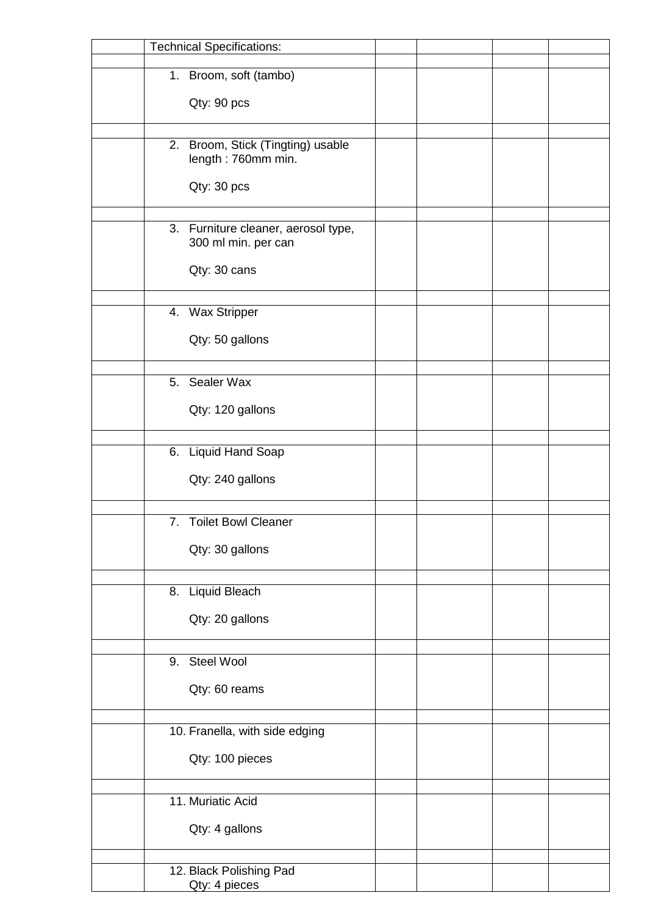| <b>Technical Specifications:</b>    |  |  |
|-------------------------------------|--|--|
| 1. Broom, soft (tambo)              |  |  |
|                                     |  |  |
| Qty: 90 pcs                         |  |  |
|                                     |  |  |
| 2. Broom, Stick (Tingting) usable   |  |  |
| length: 760mm min.                  |  |  |
| Qty: 30 pcs                         |  |  |
|                                     |  |  |
| 3. Furniture cleaner, aerosol type, |  |  |
| 300 ml min. per can                 |  |  |
|                                     |  |  |
| Qty: 30 cans                        |  |  |
|                                     |  |  |
| 4. Wax Stripper                     |  |  |
| Qty: 50 gallons                     |  |  |
|                                     |  |  |
| 5. Sealer Wax                       |  |  |
|                                     |  |  |
| Qty: 120 gallons                    |  |  |
|                                     |  |  |
| 6. Liquid Hand Soap                 |  |  |
| Qty: 240 gallons                    |  |  |
|                                     |  |  |
| <b>Toilet Bowl Cleaner</b><br>7.    |  |  |
|                                     |  |  |
| Qty: 30 gallons                     |  |  |
|                                     |  |  |
| 8. Liquid Bleach                    |  |  |
| Qty: 20 gallons                     |  |  |
|                                     |  |  |
| 9. Steel Wool                       |  |  |
|                                     |  |  |
| Qty: 60 reams                       |  |  |
|                                     |  |  |
| 10. Franella, with side edging      |  |  |
| Qty: 100 pieces                     |  |  |
|                                     |  |  |
| 11. Muriatic Acid                   |  |  |
|                                     |  |  |
| Qty: 4 gallons                      |  |  |
|                                     |  |  |
| 12. Black Polishing Pad             |  |  |
| Qty: 4 pieces                       |  |  |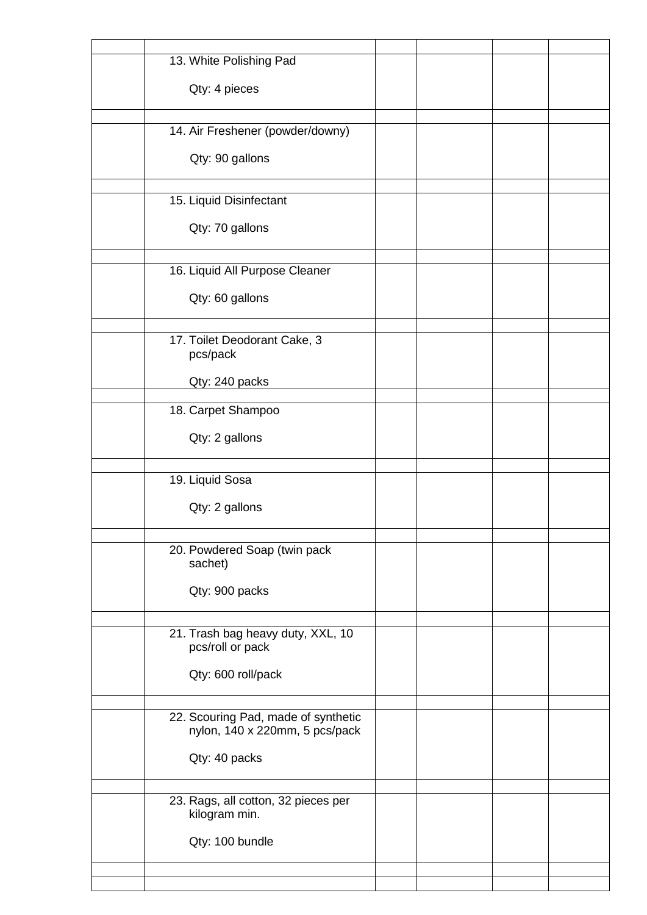| 13. White Polishing Pad                               |  |  |
|-------------------------------------------------------|--|--|
| Qty: 4 pieces                                         |  |  |
|                                                       |  |  |
| 14. Air Freshener (powder/downy)                      |  |  |
| Qty: 90 gallons                                       |  |  |
|                                                       |  |  |
| 15. Liquid Disinfectant                               |  |  |
| Qty: 70 gallons                                       |  |  |
|                                                       |  |  |
| 16. Liquid All Purpose Cleaner                        |  |  |
| Qty: 60 gallons                                       |  |  |
|                                                       |  |  |
| 17. Toilet Deodorant Cake, 3<br>pcs/pack              |  |  |
| Qty: 240 packs                                        |  |  |
|                                                       |  |  |
| 18. Carpet Shampoo                                    |  |  |
| Qty: 2 gallons                                        |  |  |
| 19. Liquid Sosa                                       |  |  |
|                                                       |  |  |
| Qty: 2 gallons                                        |  |  |
| 20. Powdered Soap (twin pack                          |  |  |
| sachet)                                               |  |  |
| Qty: 900 packs                                        |  |  |
|                                                       |  |  |
| 21. Trash bag heavy duty, XXL, 10<br>pcs/roll or pack |  |  |
| Qty: 600 roll/pack                                    |  |  |
|                                                       |  |  |
| 22. Scouring Pad, made of synthetic                   |  |  |
| nylon, 140 x 220mm, 5 pcs/pack                        |  |  |
| Qty: 40 packs                                         |  |  |
|                                                       |  |  |
| 23. Rags, all cotton, 32 pieces per<br>kilogram min.  |  |  |
| Qty: 100 bundle                                       |  |  |
|                                                       |  |  |
|                                                       |  |  |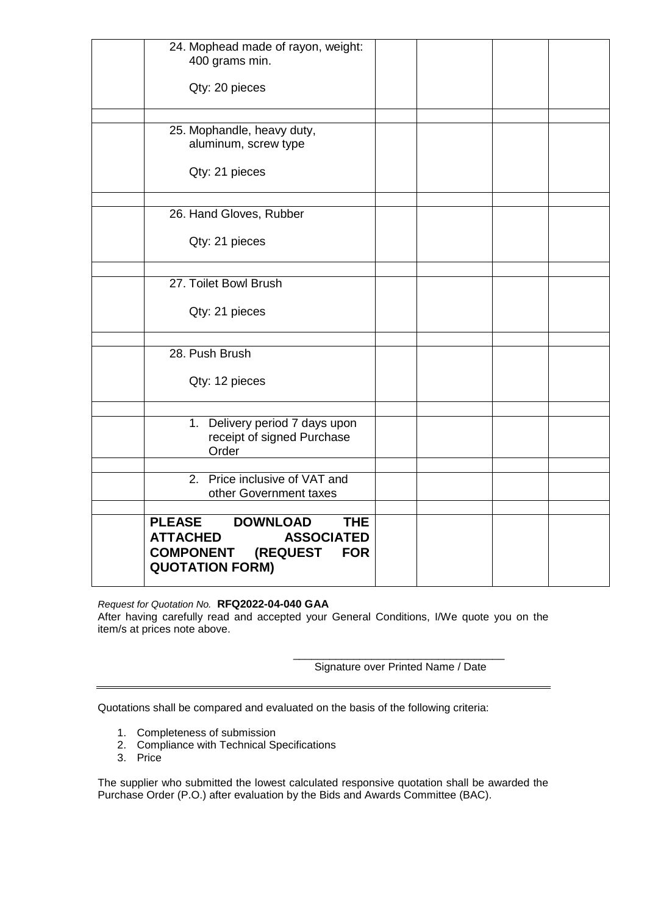| 24. Mophead made of rayon, weight:<br>400 grams min.                                                                                                                  |  |  |
|-----------------------------------------------------------------------------------------------------------------------------------------------------------------------|--|--|
| Qty: 20 pieces                                                                                                                                                        |  |  |
| 25. Mophandle, heavy duty,                                                                                                                                            |  |  |
| aluminum, screw type                                                                                                                                                  |  |  |
| Qty: 21 pieces                                                                                                                                                        |  |  |
| 26. Hand Gloves, Rubber                                                                                                                                               |  |  |
| Qty: 21 pieces                                                                                                                                                        |  |  |
| 27. Toilet Bowl Brush                                                                                                                                                 |  |  |
| Qty: 21 pieces                                                                                                                                                        |  |  |
| 28. Push Brush                                                                                                                                                        |  |  |
| Qty: 12 pieces                                                                                                                                                        |  |  |
| 1. Delivery period 7 days upon<br>receipt of signed Purchase<br>Order                                                                                                 |  |  |
| 2. Price inclusive of VAT and<br>other Government taxes                                                                                                               |  |  |
| <b>DOWNLOAD</b><br><b>PLEASE</b><br><b>THE</b><br><b>ATTACHED</b><br><b>ASSOCIATED</b><br><b>COMPONENT</b><br><b>(REQUEST</b><br><b>FOR</b><br><b>QUOTATION FORM)</b> |  |  |

## *Request for Quotation No.* **RFQ2022-04-040 GAA**

After having carefully read and accepted your General Conditions, I/We quote you on the item/s at prices note above.

> \_\_\_\_\_\_\_\_\_\_\_\_\_\_\_\_\_\_\_\_\_\_\_\_\_\_\_\_\_\_\_\_\_\_\_ Signature over Printed Name / Date

Quotations shall be compared and evaluated on the basis of the following criteria:

- 1. Completeness of submission
- 2. Compliance with Technical Specifications
- 3. Price

The supplier who submitted the lowest calculated responsive quotation shall be awarded the Purchase Order (P.O.) after evaluation by the Bids and Awards Committee (BAC).